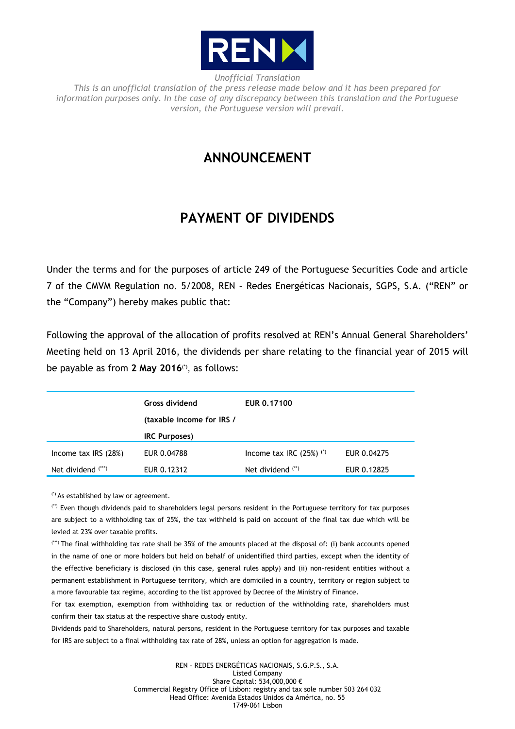

*Unofficial Translation This is an unofficial translation of the press release made below and it has been prepared for information purposes only. In the case of any discrepancy between this translation and the Portuguese version, the Portuguese version will prevail.*

## **ANNOUNCEMENT**

## **PAYMENT OF DIVIDENDS**

Under the terms and for the purposes of article 249 of the Portuguese Securities Code and article 7 of the CMVM Regulation no. 5/2008, REN – Redes Energéticas Nacionais, SGPS, S.A. ("REN" or the "Company") hereby makes public that:

Following the approval of the allocation of profits resolved at REN's Annual General Shareholders' Meeting held on 13 April 2016, the dividends per share relating to the financial year of 2015 will be payable as from **2 May 2016**(\*) , as follows:

|                        | <b>Gross dividend</b><br>(taxable income for IRS / | EUR 0.17100                   |             |
|------------------------|----------------------------------------------------|-------------------------------|-------------|
|                        | <b>IRC Purposes)</b>                               |                               |             |
| Income tax $IRS (28%)$ | EUR 0.04788                                        | Income tax IRC $(25%)$ $(25)$ | EUR 0.04275 |
| Net dividend (***)     | EUR 0.12312                                        | Net dividend $(*)$            | EUR 0.12825 |

(\*) As established by law or agreement.

(\*\*) Even though dividends paid to shareholders legal persons resident in the Portuguese territory for tax purposes are subject to a withholding tax of 25%, the tax withheld is paid on account of the final tax due which will be levied at 23% over taxable profits.

(\*\*\*) The final withholding tax rate shall be 35% of the amounts placed at the disposal of: (i) bank accounts opened in the name of one or more holders but held on behalf of unidentified third parties, except when the identity of the effective beneficiary is disclosed (in this case, general rules apply) and (ii) non-resident entities without a permanent establishment in Portuguese territory, which are domiciled in a country, territory or region subject to a more favourable tax regime, according to the list approved by Decree of the Ministry of Finance.

For tax exemption, exemption from withholding tax or reduction of the withholding rate, shareholders must confirm their tax status at the respective share custody entity.

Dividends paid to Shareholders, natural persons, resident in the Portuguese territory for tax purposes and taxable for IRS are subject to a final withholding tax rate of 28%, unless an option for aggregation is made.

> REN – REDES ENERGÉTICAS NACIONAIS, S.G.P.S., S.A. Listed Company Share Capital: 534,000,000 € Commercial Registry Office of Lisbon: registry and tax sole number 503 264 032 Head Office: Avenida Estados Unidos da América, no. 55 1749-061 Lisbon